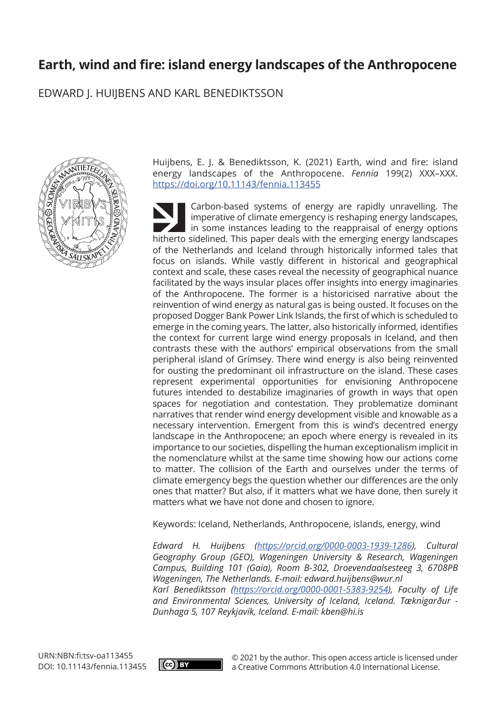# **Earth, wind and fire: island energy landscapes of the Anthropocene**

EDWARD J. HUIJBENS AND KARL BENEDIKTSSON



Huijbens, E. J. & Benediktsson, K. (2021) Earth, wind and fire: island energy landscapes of the Anthropocene. *Fennia* 199(2) XXX–XXX. <https://doi.org/10.11143/fennia.113455>

Carbon-based systems of energy are rapidly unravelling. The imperative of climate emergency is reshaping energy landscapes, in some instances leading to the reappraisal of energy options hitherto sidelined. This paper deals with the emerging energy landscapes of the Netherlands and Iceland through historically informed tales that focus on islands. While vastly different in historical and geographical context and scale, these cases reveal the necessity of geographical nuance facilitated by the ways insular places offer insights into energy imaginaries of the Anthropocene. The former is a historicised narrative about the reinvention of wind energy as natural gas is being ousted. It focuses on the proposed Dogger Bank Power Link Islands, the first of which is scheduled to emerge in the coming years. The latter, also historically informed, identifies the context for current large wind energy proposals in Iceland, and then contrasts these with the authors' empirical observations from the small peripheral island of Grímsey. There wind energy is also being reinvented for ousting the predominant oil infrastructure on the island. These cases represent experimental opportunities for envisioning Anthropocene futures intended to destabilize imaginaries of growth in ways that open spaces for negotiation and contestation. They problematize dominant narratives that render wind energy development visible and knowable as a necessary intervention. Emergent from this is wind's decentred energy landscape in the Anthropocene; an epoch where energy is revealed in its importance to our societies, dispelling the human exceptionalism implicit in the nomenclature whilst at the same time showing how our actions come to matter. The collision of the Earth and ourselves under the terms of climate emergency begs the question whether our differences are the only ones that matter? But also, if it matters what we have done, then surely it matters what we have not done and chosen to ignore.

Keywords: Iceland, Netherlands, Anthropocene, islands, energy, wind

*Edward H. Huijbens ([https://orcid.org/0000-0003-1939-1286\)](https://orcid.org/0000-0003-1939-1286), Cultural Geography Group (GEO), Wageningen University & Research, Wageningen Campus, Building 101 (Gaia), Room B-302, Droevendaalsesteeg 3, 6708PB Wageningen, The Netherlands. E-mail: [edward.huijbens@wur.nl](mailto:edward.huijbens@wur.nl) Karl Benediktsson [\(https://orcid.org/0000-0001-5383-9254](https://orcid.org/0000-0001-5383-9254)), Faculty of Life and Environmental Sciences, University of Iceland, Iceland. Tæknigarður - Dunhaga 5, 107 Reykjavík, Iceland. E-mail: [kben@hi.is](mailto:kben@hi.is)*



© 2021 by the author. This open access article is licensed under a Creative Commons Attribution 4.0 International License.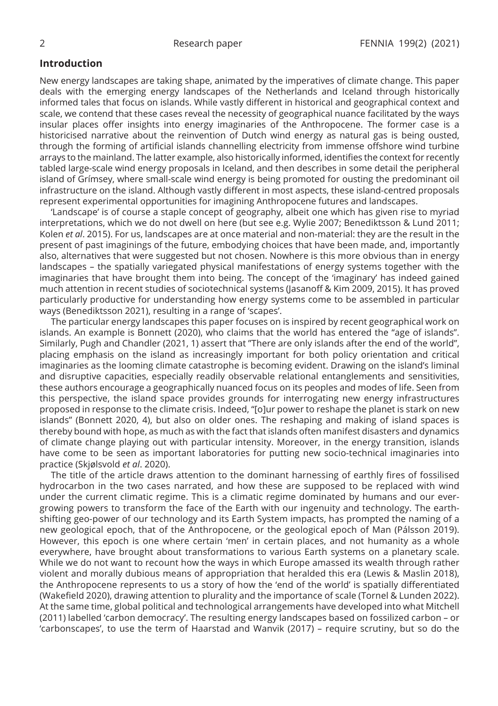### **Introduction**

New energy landscapes are taking shape, animated by the imperatives of climate change. This paper deals with the emerging energy landscapes of the Netherlands and Iceland through historically informed tales that focus on islands. While vastly different in historical and geographical context and scale, we contend that these cases reveal the necessity of geographical nuance facilitated by the ways insular places offer insights into energy imaginaries of the Anthropocene. The former case is a historicised narrative about the reinvention of Dutch wind energy as natural gas is being ousted, through the forming of artificial islands channelling electricity from immense offshore wind turbine arrays to the mainland. The latter example, also historically informed, identifies the context for recently tabled large-scale wind energy proposals in Iceland, and then describes in some detail the peripheral island of Grímsey, where small-scale wind energy is being promoted for ousting the predominant oil infrastructure on the island. Although vastly different in most aspects, these island-centred proposals represent experimental opportunities for imagining Anthropocene futures and landscapes.

'Landscape' is of course a staple concept of geography, albeit one which has given rise to myriad interpretations, which we do not dwell on here (but see e.g. Wylie 2007; Benediktsson & Lund 2011; Kolen *et al*. 2015). For us, landscapes are at once material and non-material: they are the result in the present of past imaginings of the future, embodying choices that have been made, and, importantly also, alternatives that were suggested but not chosen. Nowhere is this more obvious than in energy landscapes – the spatially variegated physical manifestations of energy systems together with the imaginaries that have brought them into being. The concept of the 'imaginary' has indeed gained much attention in recent studies of sociotechnical systems (Jasanoff & Kim 2009, 2015). It has proved particularly productive for understanding how energy systems come to be assembled in particular ways (Benediktsson 2021), resulting in a range of 'scapes'.

The particular energy landscapes this paper focuses on is inspired by recent geographical work on islands. An example is Bonnett (2020), who claims that the world has entered the "age of islands". Similarly, Pugh and Chandler (2021, 1) assert that "There are only islands after the end of the world", placing emphasis on the island as increasingly important for both policy orientation and critical imaginaries as the looming climate catastrophe is becoming evident. Drawing on the island's liminal and disruptive capacities, especially readily observable relational entanglements and sensitivities, these authors encourage a geographically nuanced focus on its peoples and modes of life. Seen from this perspective, the island space provides grounds for interrogating new energy infrastructures proposed in response to the climate crisis. Indeed, "[o]ur power to reshape the planet is stark on new islands" (Bonnett 2020, 4), but also on older ones. The reshaping and making of island spaces is thereby bound with hope, as much as with the fact that islands often manifest disasters and dynamics of climate change playing out with particular intensity. Moreover, in the energy transition, islands have come to be seen as important laboratories for putting new socio-technical imaginaries into practice (Skjølsvold *et al*. 2020).

The title of the article draws attention to the dominant harnessing of earthly fires of fossilised hydrocarbon in the two cases narrated, and how these are supposed to be replaced with wind under the current climatic regime. This is a climatic regime dominated by humans and our evergrowing powers to transform the face of the Earth with our ingenuity and technology. The earthshifting geo-power of our technology and its Earth System impacts, has prompted the naming of a new geological epoch, that of the Anthropocene, or the geological epoch of Man (Pálsson 2019). However, this epoch is one where certain 'men' in certain places, and not humanity as a whole everywhere, have brought about transformations to various Earth systems on a planetary scale. While we do not want to recount how the ways in which Europe amassed its wealth through rather violent and morally dubious means of appropriation that heralded this era (Lewis & Maslin 2018), the Anthropocene represents to us a story of how the 'end of the world' is spatially differentiated (Wakefield 2020), drawing attention to plurality and the importance of scale (Tornel & Lunden 2022). At the same time, global political and technological arrangements have developed into what Mitchell (2011) labelled 'carbon democracy'. The resulting energy landscapes based on fossilized carbon – or 'carbonscapes', to use the term of Haarstad and Wanvik (2017) – require scrutiny, but so do the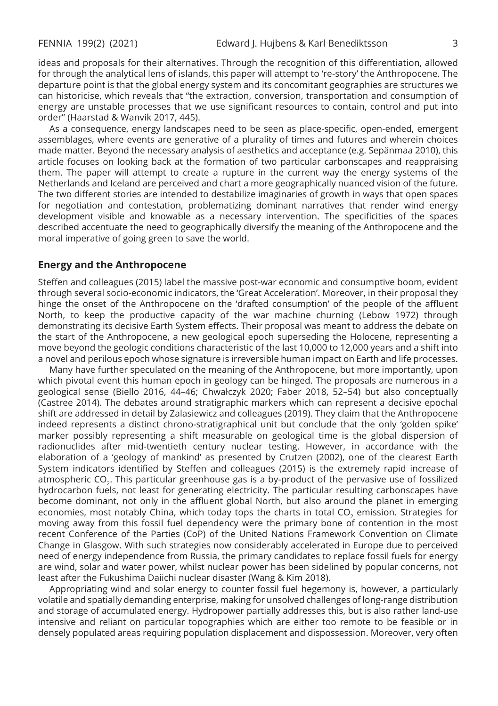ideas and proposals for their alternatives. Through the recognition of this differentiation, allowed for through the analytical lens of islands, this paper will attempt to 're-story' the Anthropocene. The departure point is that the global energy system and its concomitant geographies are structures we can historicise, which reveals that "the extraction, conversion, transportation and consumption of energy are unstable processes that we use significant resources to contain, control and put into order" (Haarstad & Wanvik 2017, 445).

As a consequence, energy landscapes need to be seen as place-specific, open-ended, emergent assemblages, where events are generative of a plurality of times and futures and wherein choices made matter. Beyond the necessary analysis of aesthetics and acceptance (e.g. Sepänmaa 2010), this article focuses on looking back at the formation of two particular carbonscapes and reappraising them. The paper will attempt to create a rupture in the current way the energy systems of the Netherlands and Iceland are perceived and chart a more geographically nuanced vision of the future. The two different stories are intended to destabilize imaginaries of growth in ways that open spaces for negotiation and contestation, problematizing dominant narratives that render wind energy development visible and knowable as a necessary intervention. The specificities of the spaces described accentuate the need to geographically diversify the meaning of the Anthropocene and the moral imperative of going green to save the world.

### **Energy and the Anthropocene**

Steffen and colleagues (2015) label the massive post-war economic and consumptive boom, evident through several socio-economic indicators, the 'Great Acceleration'. Moreover, in their proposal they hinge the onset of the Anthropocene on the 'drafted consumption' of the people of the affluent North, to keep the productive capacity of the war machine churning (Lebow 1972) through demonstrating its decisive Earth System effects. Their proposal was meant to address the debate on the start of the Anthropocene, a new geological epoch superseding the Holocene, representing a move beyond the geologic conditions characteristic of the last 10,000 to 12,000 years and a shift into a novel and perilous epoch whose signature is irreversible human impact on Earth and life processes.

Many have further speculated on the meaning of the Anthropocene, but more importantly, upon which pivotal event this human epoch in geology can be hinged. The proposals are numerous in a geological sense (Biello 2016, 44–46; Chwałczyk 2020; Faber 2018, 52–54) but also conceptually (Castree 2014). The debates around stratigraphic markers which can represent a decisive epochal shift are addressed in detail by Zalasiewicz and colleagues (2019). They claim that the Anthropocene indeed represents a distinct chrono-stratigraphical unit but conclude that the only 'golden spike' marker possibly representing a shift measurable on geological time is the global dispersion of radionuclides after mid-twentieth century nuclear testing. However, in accordance with the elaboration of a 'geology of mankind' as presented by Crutzen (2002), one of the clearest Earth System indicators identified by Steffen and colleagues (2015) is the extremely rapid increase of atmospheric CO<sub>2</sub>. This particular greenhouse gas is a by-product of the pervasive use of fossilized hydrocarbon fuels, not least for generating electricity. The particular resulting carbonscapes have become dominant, not only in the affluent global North, but also around the planet in emerging economies, most notably China, which today tops the charts in total CO<sub>2</sub> emission. Strategies for moving away from this fossil fuel dependency were the primary bone of contention in the most recent Conference of the Parties (CoP) of the United Nations Framework Convention on Climate Change in Glasgow. With such strategies now considerably accelerated in Europe due to perceived need of energy independence from Russia, the primary candidates to replace fossil fuels for energy are wind, solar and water power, whilst nuclear power has been sidelined by popular concerns, not least after the Fukushima Daiichi nuclear disaster (Wang & Kim 2018).

Appropriating wind and solar energy to counter fossil fuel hegemony is, however, a particularly volatile and spatially demanding enterprise, making for unsolved challenges of long-range distribution and storage of accumulated energy. Hydropower partially addresses this, but is also rather land-use intensive and reliant on particular topographies which are either too remote to be feasible or in densely populated areas requiring population displacement and dispossession. Moreover, very often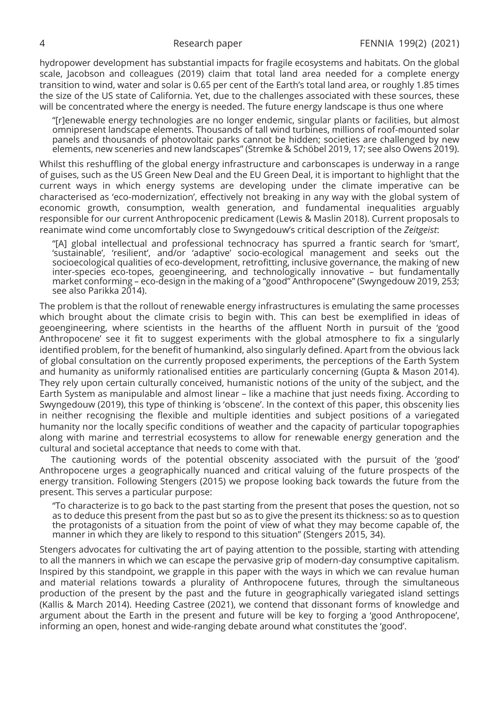hydropower development has substantial impacts for fragile ecosystems and habitats. On the global scale, Jacobson and colleagues (2019) claim that total land area needed for a complete energy transition to wind, water and solar is 0.65 per cent of the Earth's total land area, or roughly 1.85 times the size of the US state of California. Yet, due to the challenges associated with these sources, these will be concentrated where the energy is needed. The future energy landscape is thus one where

"[r]enewable energy technologies are no longer endemic, singular plants or facilities, but almost omnipresent landscape elements. Thousands of tall wind turbines, millions of roof-mounted solar panels and thousands of photovoltaic parks cannot be hidden; societies are challenged by new elements, new sceneries and new landscapes" (Stremke & Schöbel 2019, 17; see also Owens 2019).

Whilst this reshuffling of the global energy infrastructure and carbonscapes is underway in a range of guises, such as the US Green New Deal and the EU Green Deal, it is important to highlight that the current ways in which energy systems are developing under the climate imperative can be characterised as 'eco-modernization', effectively not breaking in any way with the global system of economic growth, consumption, wealth generation, and fundamental inequalities arguably responsible for our current Anthropocenic predicament (Lewis & Maslin 2018). Current proposals to reanimate wind come uncomfortably close to Swyngedouw's critical description of the *Zeitgeist*:

"[A] global intellectual and professional technocracy has spurred a frantic search for 'smart', 'sustainable', 'resilient', and/or 'adaptive' socio-ecological management and seeks out the socioecological qualities of eco-development, retrofitting, inclusive governance, the making of new inter-species eco-topes, geoengineering, and technologically innovative – but fundamentally market conforming – eco-design in the making of a "good" Anthropocene" (Swyngedouw 2019, 253; see also Parikka 2014).

The problem is that the rollout of renewable energy infrastructures is emulating the same processes which brought about the climate crisis to begin with. This can best be exemplified in ideas of geoengineering, where scientists in the hearths of the affluent North in pursuit of the 'good Anthropocene' see it fit to suggest experiments with the global atmosphere to fix a singularly identified problem, for the benefit of humankind, also singularly defined. Apart from the obvious lack of global consultation on the currently proposed experiments, the perceptions of the Earth System and humanity as uniformly rationalised entities are particularly concerning (Gupta & Mason 2014). They rely upon certain culturally conceived, humanistic notions of the unity of the subject, and the Earth System as manipulable and almost linear – like a machine that just needs fixing. According to Swyngedouw (2019), this type of thinking is 'obscene'. In the context of this paper, this obscenity lies in neither recognising the flexible and multiple identities and subject positions of a variegated humanity nor the locally specific conditions of weather and the capacity of particular topographies along with marine and terrestrial ecosystems to allow for renewable energy generation and the cultural and societal acceptance that needs to come with that.

The cautioning words of the potential obscenity associated with the pursuit of the 'good' Anthropocene urges a geographically nuanced and critical valuing of the future prospects of the energy transition. Following Stengers (2015) we propose looking back towards the future from the present. This serves a particular purpose:

"To characterize is to go back to the past starting from the present that poses the question, not so as to deduce this present from the past but so as to give the present its thickness: so as to question the protagonists of a situation from the point of view of what they may become capable of, the manner in which they are likely to respond to this situation" (Stengers 2015, 34).

Stengers advocates for cultivating the art of paying attention to the possible, starting with attending to all the manners in which we can escape the pervasive grip of modern-day consumptive capitalism. Inspired by this standpoint, we grapple in this paper with the ways in which we can revalue human and material relations towards a plurality of Anthropocene futures, through the simultaneous production of the present by the past and the future in geographically variegated island settings (Kallis & March 2014). Heeding Castree (2021), we contend that dissonant forms of knowledge and argument about the Earth in the present and future will be key to forging a 'good Anthropocene', informing an open, honest and wide-ranging debate around what constitutes the 'good'.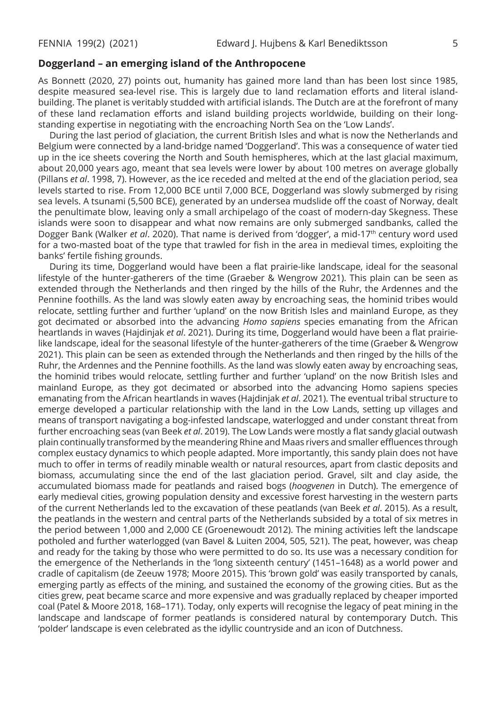## **Doggerland – an emerging island of the Anthropocene**

As Bonnett (2020, 27) points out, humanity has gained more land than has been lost since 1985, despite measured sea-level rise. This is largely due to land reclamation efforts and literal islandbuilding. The planet is veritably studded with artificial islands. The Dutch are at the forefront of many of these land reclamation efforts and island building projects worldwide, building on their longstanding expertise in negotiating with the encroaching North Sea on the 'Low Lands'.

During the last period of glaciation, the current British Isles and what is now the Netherlands and Belgium were connected by a land-bridge named 'Doggerland'. This was a consequence of water tied up in the ice sheets covering the North and South hemispheres, which at the last glacial maximum, about 20,000 years ago, meant that sea levels were lower by about 100 metres on average globally (Pillans *et al*. 1998, 7). However, as the ice receded and melted at the end of the glaciation period, sea levels started to rise. From 12,000 BCE until 7,000 BCE, Doggerland was slowly submerged by rising sea levels. A tsunami (5,500 BCE), generated by an undersea mudslide off the coast of Norway, dealt the penultimate blow, leaving only a small archipelago of the coast of modern-day Skegness. These islands were soon to disappear and what now remains are only submerged sandbanks, called the Dogger Bank (Walker et al. 2020). That name is derived from 'dogger', a mid-17<sup>th</sup> century word used for a two-masted boat of the type that trawled for fish in the area in medieval times, exploiting the banks' fertile fishing grounds.

During its time, Doggerland would have been a flat prairie-like landscape, ideal for the seasonal lifestyle of the hunter-gatherers of the time (Graeber & Wengrow 2021). This plain can be seen as extended through the Netherlands and then ringed by the hills of the Ruhr, the Ardennes and the Pennine foothills. As the land was slowly eaten away by encroaching seas, the hominid tribes would relocate, settling further and further 'upland' on the now British Isles and mainland Europe, as they got decimated or absorbed into the advancing *Homo sapiens* species emanating from the African heartlands in waves (Hajdinjak *et al*. 2021). During its time, Doggerland would have been a flat prairielike landscape, ideal for the seasonal lifestyle of the hunter-gatherers of the time (Graeber & Wengrow 2021). This plain can be seen as extended through the Netherlands and then ringed by the hills of the Ruhr, the Ardennes and the Pennine foothills. As the land was slowly eaten away by encroaching seas, the hominid tribes would relocate, settling further and further 'upland' on the now British Isles and mainland Europe, as they got decimated or absorbed into the advancing Homo sapiens species emanating from the African heartlands in waves (Hajdinjak *et al*. 2021). The eventual tribal structure to emerge developed a particular relationship with the land in the Low Lands, setting up villages and means of transport navigating a bog-infested landscape, waterlogged and under constant threat from further encroaching seas (van Beek *et al*. 2019). The Low Lands were mostly a flat sandy glacial outwash plain continually transformed by the meandering Rhine and Maas rivers and smaller effluences through complex eustacy dynamics to which people adapted. More importantly, this sandy plain does not have much to offer in terms of readily minable wealth or natural resources, apart from clastic deposits and biomass, accumulating since the end of the last glaciation period. Gravel, silt and clay aside, the accumulated biomass made for peatlands and raised bogs (*hoogvenen* in Dutch). The emergence of early medieval cities, growing population density and excessive forest harvesting in the western parts of the current Netherlands led to the excavation of these peatlands (van Beek *et al*. 2015). As a result, the peatlands in the western and central parts of the Netherlands subsided by a total of six metres in the period between 1,000 and 2,000 CE (Groenewoudt 2012). The mining activities left the landscape potholed and further waterlogged (van Bavel & Luiten 2004, 505, 521). The peat, however, was cheap and ready for the taking by those who were permitted to do so. Its use was a necessary condition for the emergence of the Netherlands in the 'long sixteenth century' (1451–1648) as a world power and cradle of capitalism (de Zeeuw 1978; Moore 2015). This 'brown gold' was easily transported by canals, emerging partly as effects of the mining, and sustained the economy of the growing cities. But as the cities grew, peat became scarce and more expensive and was gradually replaced by cheaper imported coal (Patel & Moore 2018, 168–171). Today, only experts will recognise the legacy of peat mining in the landscape and landscape of former peatlands is considered natural by contemporary Dutch. This 'polder' landscape is even celebrated as the idyllic countryside and an icon of Dutchness.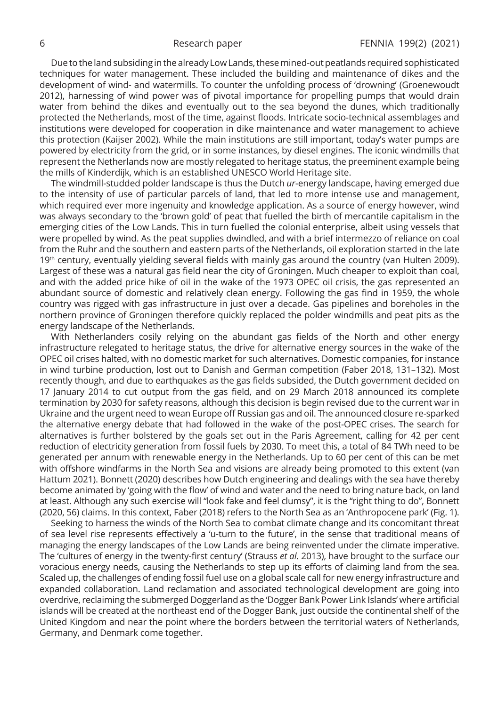Due to the land subsiding in the already Low Lands, these mined-out peatlands required sophisticated techniques for water management. These included the building and maintenance of dikes and the development of wind- and watermills. To counter the unfolding process of 'drowning' (Groenewoudt 2012), harnessing of wind power was of pivotal importance for propelling pumps that would drain water from behind the dikes and eventually out to the sea beyond the dunes, which traditionally protected the Netherlands, most of the time, against floods. Intricate socio-technical assemblages and institutions were developed for cooperation in dike maintenance and water management to achieve this protection (Kaijser 2002). While the main institutions are still important, today's water pumps are powered by electricity from the grid, or in some instances, by diesel engines. The iconic windmills that represent the Netherlands now are mostly relegated to heritage status, the preeminent example being the mills of Kinderdijk, which is an established UNESCO World Heritage site.

The windmill-studded polder landscape is thus the Dutch *ur*-energy landscape, having emerged due to the intensity of use of particular parcels of land, that led to more intense use and management, which required ever more ingenuity and knowledge application. As a source of energy however, wind was always secondary to the 'brown gold' of peat that fuelled the birth of mercantile capitalism in the emerging cities of the Low Lands. This in turn fuelled the colonial enterprise, albeit using vessels that were propelled by wind. As the peat supplies dwindled, and with a brief intermezzo of reliance on coal from the Ruhr and the southern and eastern parts of the Netherlands, oil exploration started in the late  $19<sup>th</sup>$  century, eventually yielding several fields with mainly gas around the country (van Hulten 2009). Largest of these was a natural gas field near the city of Groningen. Much cheaper to exploit than coal, and with the added price hike of oil in the wake of the 1973 OPEC oil crisis, the gas represented an abundant source of domestic and relatively clean energy. Following the gas find in 1959, the whole country was rigged with gas infrastructure in just over a decade. Gas pipelines and boreholes in the northern province of Groningen therefore quickly replaced the polder windmills and peat pits as the energy landscape of the Netherlands.

With Netherlanders cosily relying on the abundant gas fields of the North and other energy infrastructure relegated to heritage status, the drive for alternative energy sources in the wake of the OPEC oil crises halted, with no domestic market for such alternatives. Domestic companies, for instance in wind turbine production, lost out to Danish and German competition (Faber 2018, 131–132). Most recently though, and due to earthquakes as the gas fields subsided, the Dutch government decided on 17 January 2014 to cut output from the gas field, and on 29 March 2018 announced its complete termination by 2030 for safety reasons, although this decision is begin revised due to the current war in Ukraine and the urgent need to wean Europe off Russian gas and oil. The announced closure re-sparked the alternative energy debate that had followed in the wake of the post-OPEC crises. The search for alternatives is further bolstered by the goals set out in the Paris Agreement, calling for 42 per cent reduction of electricity generation from fossil fuels by 2030. To meet this, a total of 84 TWh need to be generated per annum with renewable energy in the Netherlands. Up to 60 per cent of this can be met with offshore windfarms in the North Sea and visions are already being promoted to this extent (van Hattum 2021). Bonnett (2020) describes how Dutch engineering and dealings with the sea have thereby become animated by 'going with the flow' of wind and water and the need to bring nature back, on land at least. Although any such exercise will "look fake and feel clumsy", it is the "right thing to do", Bonnett (2020, 56) claims. In this context, Faber (2018) refers to the North Sea as an 'Anthropocene park' (Fig. 1).

Seeking to harness the winds of the North Sea to combat climate change and its concomitant threat of sea level rise represents effectively a 'u-turn to the future', in the sense that traditional means of managing the energy landscapes of the Low Lands are being reinvented under the climate imperative. The 'cultures of energy in the twenty-first century' (Strauss *et al*. 2013), have brought to the surface our voracious energy needs, causing the Netherlands to step up its efforts of claiming land from the sea. Scaled up, the challenges of ending fossil fuel use on a global scale call for new energy infrastructure and expanded collaboration. Land reclamation and associated technological development are going into overdrive, reclaiming the submerged Doggerland as the 'Dogger Bank Power Link Islands' where artificial islands will be created at the northeast end of the Dogger Bank, just outside the continental shelf of the United Kingdom and near the point where the borders between the territorial waters of Netherlands, Germany, and Denmark come together.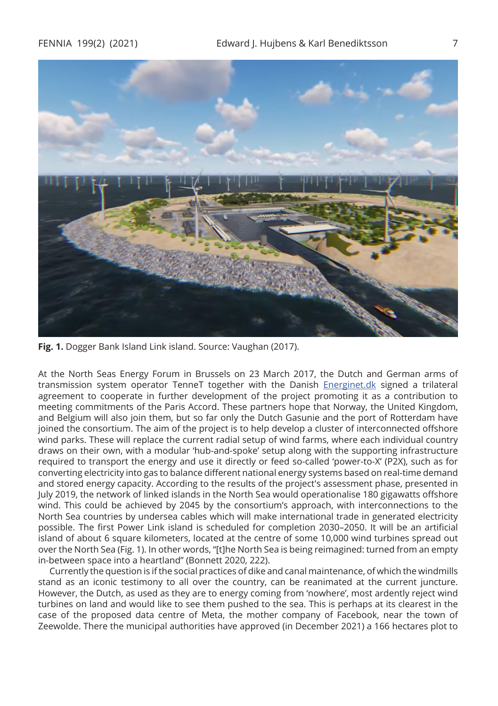

**Fig. 1.** Dogger Bank Island Link island. Source: Vaughan (2017).

At the North Seas Energy Forum in Brussels on 23 March 2017, the Dutch and German arms of transmission system operator TenneT together with the Danish [Energinet.dk](http://Energinet.dk) signed a trilateral agreement to cooperate in further development of the project promoting it as a contribution to meeting commitments of the Paris Accord. These partners hope that Norway, the United Kingdom, and Belgium will also join them, but so far only the Dutch Gasunie and the port of Rotterdam have joined the consortium. The aim of the project is to help develop a cluster of interconnected offshore wind parks. These will replace the current radial setup of wind farms, where each individual country draws on their own, with a modular 'hub-and-spoke' setup along with the supporting infrastructure required to transport the energy and use it directly or feed so-called 'power-to-X' (P2X), such as for converting electricity into gas to balance different national energy systems based on real-time demand and stored energy capacity. According to the results of the project's assessment phase, presented in July 2019, the network of linked islands in the North Sea would operationalise 180 gigawatts offshore wind. This could be achieved by 2045 by the consortium's approach, with interconnections to the North Sea countries by undersea cables which will make international trade in generated electricity possible. The first Power Link island is scheduled for completion 2030–2050. It will be an artificial island of about 6 square kilometers, located at the centre of some 10,000 wind turbines spread out over the North Sea (Fig. 1). In other words, "[t]he North Sea is being reimagined: turned from an empty in-between space into a heartland" (Bonnett 2020, 222).

Currently the question is if the social practices of dike and canal maintenance, of which the windmills stand as an iconic testimony to all over the country, can be reanimated at the current juncture. However, the Dutch, as used as they are to energy coming from 'nowhere', most ardently reject wind turbines on land and would like to see them pushed to the sea. This is perhaps at its clearest in the case of the proposed data centre of Meta, the mother company of Facebook, near the town of Zeewolde. There the municipal authorities have approved (in December 2021) a 166 hectares plot to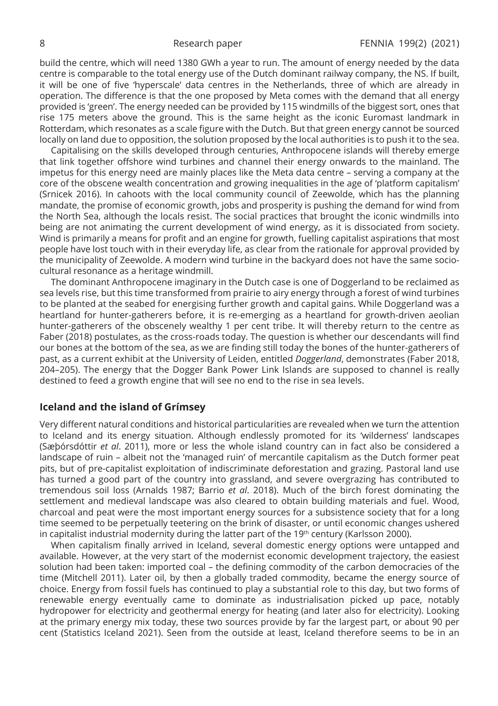build the centre, which will need 1380 GWh a year to run. The amount of energy needed by the data centre is comparable to the total energy use of the Dutch dominant railway company, the NS. If built, it will be one of five 'hyperscale' data centres in the Netherlands, three of which are already in operation. The difference is that the one proposed by Meta comes with the demand that all energy provided is 'green'. The energy needed can be provided by 115 windmills of the biggest sort, ones that rise 175 meters above the ground. This is the same height as the iconic Euromast landmark in Rotterdam, which resonates as a scale figure with the Dutch. But that green energy cannot be sourced locally on land due to opposition, the solution proposed by the local authorities is to push it to the sea.

Capitalising on the skills developed through centuries, Anthropocene islands will thereby emerge that link together offshore wind turbines and channel their energy onwards to the mainland. The impetus for this energy need are mainly places like the Meta data centre – serving a company at the core of the obscene wealth concentration and growing inequalities in the age of 'platform capitalism' (Srnicek 2016). In cahoots with the local community council of Zeewolde, which has the planning mandate, the promise of economic growth, jobs and prosperity is pushing the demand for wind from the North Sea, although the locals resist. The social practices that brought the iconic windmills into being are not animating the current development of wind energy, as it is dissociated from society. Wind is primarily a means for profit and an engine for growth, fuelling capitalist aspirations that most people have lost touch with in their everyday life, as clear from the rationale for approval provided by the municipality of Zeewolde. A modern wind turbine in the backyard does not have the same sociocultural resonance as a heritage windmill.

The dominant Anthropocene imaginary in the Dutch case is one of Doggerland to be reclaimed as sea levels rise, but this time transformed from prairie to airy energy through a forest of wind turbines to be planted at the seabed for energising further growth and capital gains. While Doggerland was a heartland for hunter-gatherers before, it is re-emerging as a heartland for growth-driven aeolian hunter-gatherers of the obscenely wealthy 1 per cent tribe. It will thereby return to the centre as Faber (2018) postulates, as the cross-roads today. The question is whether our descendants will find our bones at the bottom of the sea, as we are finding still today the bones of the hunter-gatherers of past, as a current exhibit at the University of Leiden, entitled *Doggerland*, demonstrates (Faber 2018, 204–205). The energy that the Dogger Bank Power Link Islands are supposed to channel is really destined to feed a growth engine that will see no end to the rise in sea levels.

## **Iceland and the island of Grímsey**

Very different natural conditions and historical particularities are revealed when we turn the attention to Iceland and its energy situation. Although endlessly promoted for its 'wilderness' landscapes (Sæþórsdóttir *et al*. 2011), more or less the whole island country can in fact also be considered a landscape of ruin – albeit not the 'managed ruin' of mercantile capitalism as the Dutch former peat pits, but of pre-capitalist exploitation of indiscriminate deforestation and grazing. Pastoral land use has turned a good part of the country into grassland, and severe overgrazing has contributed to tremendous soil loss (Arnalds 1987; Barrio *et al*. 2018). Much of the birch forest dominating the settlement and medieval landscape was also cleared to obtain building materials and fuel. Wood, charcoal and peat were the most important energy sources for a subsistence society that for a long time seemed to be perpetually teetering on the brink of disaster, or until economic changes ushered in capitalist industrial modernity during the latter part of the  $19<sup>th</sup>$  century (Karlsson 2000).

When capitalism finally arrived in Iceland, several domestic energy options were untapped and available. However, at the very start of the modernist economic development trajectory, the easiest solution had been taken: imported coal – the defining commodity of the carbon democracies of the time (Mitchell 2011). Later oil, by then a globally traded commodity, became the energy source of choice. Energy from fossil fuels has continued to play a substantial role to this day, but two forms of renewable energy eventually came to dominate as industrialisation picked up pace, notably hydropower for electricity and geothermal energy for heating (and later also for electricity). Looking at the primary energy mix today, these two sources provide by far the largest part, or about 90 per cent (Statistics Iceland 2021). Seen from the outside at least, Iceland therefore seems to be in an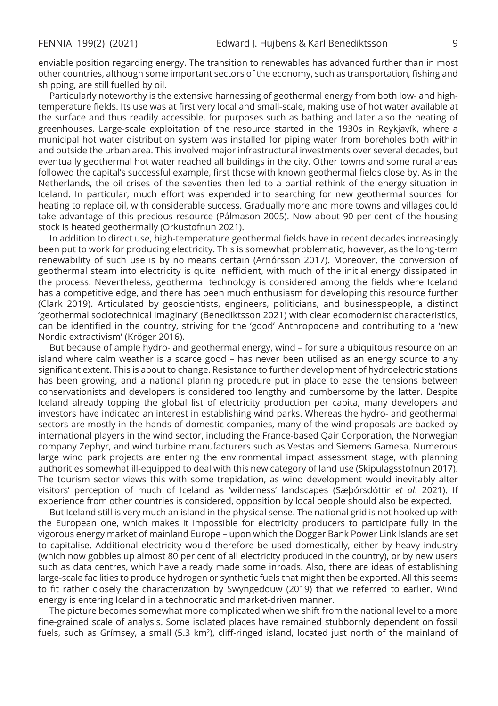enviable position regarding energy. The transition to renewables has advanced further than in most other countries, although some important sectors of the economy, such as transportation, fishing and shipping, are still fuelled by oil.

Particularly noteworthy is the extensive harnessing of geothermal energy from both low- and hightemperature fields. Its use was at first very local and small-scale, making use of hot water available at the surface and thus readily accessible, for purposes such as bathing and later also the heating of greenhouses. Large-scale exploitation of the resource started in the 1930s in Reykjavík, where a municipal hot water distribution system was installed for piping water from boreholes both within and outside the urban area. This involved major infrastructural investments over several decades, but eventually geothermal hot water reached all buildings in the city. Other towns and some rural areas followed the capital's successful example, first those with known geothermal fields close by. As in the Netherlands, the oil crises of the seventies then led to a partial rethink of the energy situation in Iceland. In particular, much effort was expended into searching for new geothermal sources for heating to replace oil, with considerable success. Gradually more and more towns and villages could take advantage of this precious resource (Pálmason 2005). Now about 90 per cent of the housing stock is heated geothermally (Orkustofnun 2021).

In addition to direct use, high-temperature geothermal fields have in recent decades increasingly been put to work for producing electricity. This is somewhat problematic, however, as the long-term renewability of such use is by no means certain (Arnórsson 2017). Moreover, the conversion of geothermal steam into electricity is quite inefficient, with much of the initial energy dissipated in the process. Nevertheless, geothermal technology is considered among the fields where Iceland has a competitive edge, and there has been much enthusiasm for developing this resource further (Clark 2019). Articulated by geoscientists, engineers, politicians, and businesspeople, a distinct 'geothermal sociotechnical imaginary' (Benediktsson 2021) with clear ecomodernist characteristics, can be identified in the country, striving for the 'good' Anthropocene and contributing to a 'new Nordic extractivism' (Kröger 2016).

But because of ample hydro- and geothermal energy, wind – for sure a ubiquitous resource on an island where calm weather is a scarce good – has never been utilised as an energy source to any significant extent. This is about to change. Resistance to further development of hydroelectric stations has been growing, and a national planning procedure put in place to ease the tensions between conservationists and developers is considered too lengthy and cumbersome by the latter. Despite Iceland already topping the global list of electricity production per capita, many developers and investors have indicated an interest in establishing wind parks. Whereas the hydro- and geothermal sectors are mostly in the hands of domestic companies, many of the wind proposals are backed by international players in the wind sector, including the France-based Qair Corporation, the Norwegian company Zephyr, and wind turbine manufacturers such as Vestas and Siemens Gamesa. Numerous large wind park projects are entering the environmental impact assessment stage, with planning authorities somewhat ill-equipped to deal with this new category of land use (Skipulagsstofnun 2017). The tourism sector views this with some trepidation, as wind development would inevitably alter visitors' perception of much of Iceland as 'wilderness' landscapes (Sæþórsdóttir *et al*. 2021). If experience from other countries is considered, opposition by local people should also be expected.

But Iceland still is very much an island in the physical sense. The national grid is not hooked up with the European one, which makes it impossible for electricity producers to participate fully in the vigorous energy market of mainland Europe – upon which the Dogger Bank Power Link Islands are set to capitalise. Additional electricity would therefore be used domestically, either by heavy industry (which now gobbles up almost 80 per cent of all electricity produced in the country), or by new users such as data centres, which have already made some inroads. Also, there are ideas of establishing large-scale facilities to produce hydrogen or synthetic fuels that might then be exported. All this seems to fit rather closely the characterization by Swyngedouw (2019) that we referred to earlier. Wind energy is entering Iceland in a technocratic and market-driven manner.

The picture becomes somewhat more complicated when we shift from the national level to a more fine-grained scale of analysis. Some isolated places have remained stubbornly dependent on fossil fuels, such as Grímsey, a small (5.3 km<sup>2</sup>), cliff-ringed island, located just north of the mainland of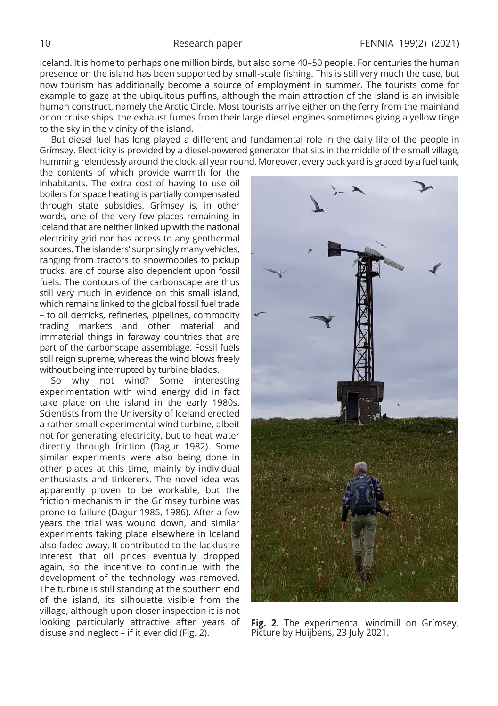Iceland. It is home to perhaps one million birds, but also some 40–50 people. For centuries the human presence on the island has been supported by small-scale fishing. This is still very much the case, but now tourism has additionally become a source of employment in summer. The tourists come for example to gaze at the ubiquitous puffins, although the main attraction of the island is an invisible human construct, namely the Arctic Circle. Most tourists arrive either on the ferry from the mainland or on cruise ships, the exhaust fumes from their large diesel engines sometimes giving a yellow tinge to the sky in the vicinity of the island.

But diesel fuel has long played a different and fundamental role in the daily life of the people in Grímsey. Electricity is provided by a diesel-powered generator that sits in the middle of the small village, humming relentlessly around the clock, all year round. Moreover, every back yard is graced by a fuel tank,

the contents of which provide warmth for the inhabitants. The extra cost of having to use oil boilers for space heating is partially compensated through state subsidies. Grímsey is, in other words, one of the very few places remaining in Iceland that are neither linked up with the national electricity grid nor has access to any geothermal sources. The islanders' surprisingly many vehicles, ranging from tractors to snowmobiles to pickup trucks, are of course also dependent upon fossil fuels. The contours of the carbonscape are thus still very much in evidence on this small island, which remains linked to the global fossil fuel trade – to oil derricks, refineries, pipelines, commodity trading markets and other material and immaterial things in faraway countries that are part of the carbonscape assemblage. Fossil fuels still reign supreme, whereas the wind blows freely without being interrupted by turbine blades.

So why not wind? Some interesting experimentation with wind energy did in fact take place on the island in the early 1980s. Scientists from the University of Iceland erected a rather small experimental wind turbine, albeit not for generating electricity, but to heat water directly through friction (Dagur 1982). Some similar experiments were also being done in other places at this time, mainly by individual enthusiasts and tinkerers. The novel idea was apparently proven to be workable, but the friction mechanism in the Grímsey turbine was prone to failure (Dagur 1985, 1986). After a few years the trial was wound down, and similar experiments taking place elsewhere in Iceland also faded away. It contributed to the lacklustre interest that oil prices eventually dropped again, so the incentive to continue with the development of the technology was removed. The turbine is still standing at the southern end of the island, its silhouette visible from the village, although upon closer inspection it is not looking particularly attractive after years of disuse and neglect – if it ever did (Fig. 2).



**Fig. 2.** The experimental windmill on Grímsey. Picture by Huijbens, 23 July 2021.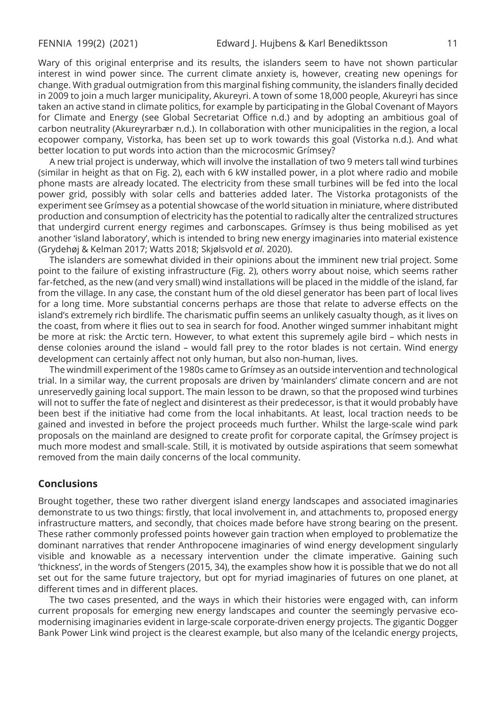Wary of this original enterprise and its results, the islanders seem to have not shown particular interest in wind power since. The current climate anxiety is, however, creating new openings for change. With gradual outmigration from this marginal fishing community, the islanders finally decided in 2009 to join a much larger municipality, Akureyri. A town of some 18,000 people, Akureyri has since taken an active stand in climate politics, for example by participating in the Global Covenant of Mayors for Climate and Energy (see Global Secretariat Office n.d.) and by adopting an ambitious goal of carbon neutrality (Akureyrarbær n.d.). In collaboration with other municipalities in the region, a local ecopower company, Vistorka, has been set up to work towards this goal (Vistorka n.d.). And what better location to put words into action than the microcosmic Grímsey?

A new trial project is underway, which will involve the installation of two 9 meters tall wind turbines (similar in height as that on Fig. 2), each with 6 kW installed power, in a plot where radio and mobile phone masts are already located. The electricity from these small turbines will be fed into the local power grid, possibly with solar cells and batteries added later. The Vistorka protagonists of the experiment see Grímsey as a potential showcase of the world situation in miniature, where distributed production and consumption of electricity has the potential to radically alter the centralized structures that undergird current energy regimes and carbonscapes. Grímsey is thus being mobilised as yet another 'island laboratory', which is intended to bring new energy imaginaries into material existence (Grydehøj & Kelman 2017; Watts 2018; Skjølsvold *et al*. 2020).

The islanders are somewhat divided in their opinions about the imminent new trial project. Some point to the failure of existing infrastructure (Fig. 2), others worry about noise, which seems rather far-fetched, as the new (and very small) wind installations will be placed in the middle of the island, far from the village. In any case, the constant hum of the old diesel generator has been part of local lives for a long time. More substantial concerns perhaps are those that relate to adverse effects on the island's extremely rich birdlife. The charismatic puffin seems an unlikely casualty though, as it lives on the coast, from where it flies out to sea in search for food. Another winged summer inhabitant might be more at risk: the Arctic tern. However, to what extent this supremely agile bird – which nests in dense colonies around the island – would fall prey to the rotor blades is not certain. Wind energy development can certainly affect not only human, but also non-human, lives.

The windmill experiment of the 1980s came to Grímsey as an outside intervention and technological trial. In a similar way, the current proposals are driven by 'mainlanders' climate concern and are not unreservedly gaining local support. The main lesson to be drawn, so that the proposed wind turbines will not to suffer the fate of neglect and disinterest as their predecessor, is that it would probably have been best if the initiative had come from the local inhabitants. At least, local traction needs to be gained and invested in before the project proceeds much further. Whilst the large-scale wind park proposals on the mainland are designed to create profit for corporate capital, the Grímsey project is much more modest and small-scale. Still, it is motivated by outside aspirations that seem somewhat removed from the main daily concerns of the local community.

## **Conclusions**

Brought together, these two rather divergent island energy landscapes and associated imaginaries demonstrate to us two things: firstly, that local involvement in, and attachments to, proposed energy infrastructure matters, and secondly, that choices made before have strong bearing on the present. These rather commonly professed points however gain traction when employed to problematize the dominant narratives that render Anthropocene imaginaries of wind energy development singularly visible and knowable as a necessary intervention under the climate imperative. Gaining such 'thickness', in the words of Stengers (2015, 34), the examples show how it is possible that we do not all set out for the same future trajectory, but opt for myriad imaginaries of futures on one planet, at different times and in different places.

The two cases presented, and the ways in which their histories were engaged with, can inform current proposals for emerging new energy landscapes and counter the seemingly pervasive ecomodernising imaginaries evident in large-scale corporate-driven energy projects. The gigantic Dogger Bank Power Link wind project is the clearest example, but also many of the Icelandic energy projects,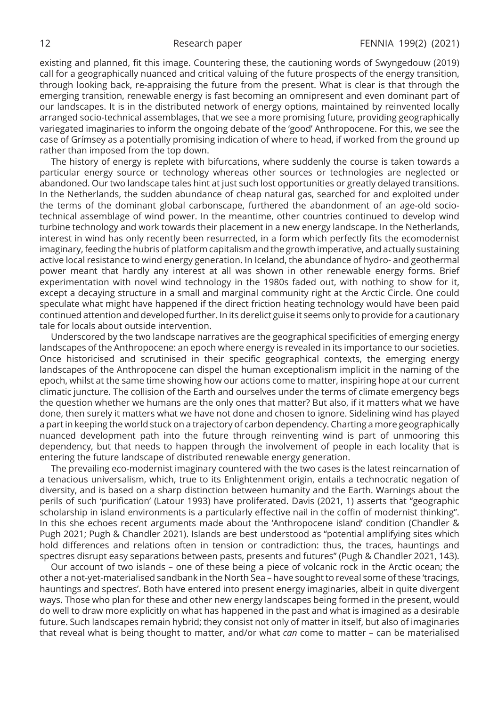existing and planned, fit this image. Countering these, the cautioning words of Swyngedouw (2019) call for a geographically nuanced and critical valuing of the future prospects of the energy transition, through looking back, re-appraising the future from the present. What is clear is that through the emerging transition, renewable energy is fast becoming an omnipresent and even dominant part of our landscapes. It is in the distributed network of energy options, maintained by reinvented locally arranged socio-technical assemblages, that we see a more promising future, providing geographically variegated imaginaries to inform the ongoing debate of the 'good' Anthropocene. For this, we see the case of Grímsey as a potentially promising indication of where to head, if worked from the ground up rather than imposed from the top down.

The history of energy is replete with bifurcations, where suddenly the course is taken towards a particular energy source or technology whereas other sources or technologies are neglected or abandoned. Our two landscape tales hint at just such lost opportunities or greatly delayed transitions. In the Netherlands, the sudden abundance of cheap natural gas, searched for and exploited under the terms of the dominant global carbonscape, furthered the abandonment of an age-old sociotechnical assemblage of wind power. In the meantime, other countries continued to develop wind turbine technology and work towards their placement in a new energy landscape. In the Netherlands, interest in wind has only recently been resurrected, in a form which perfectly fits the ecomodernist imaginary, feeding the hubris of platform capitalism and the growth imperative, and actually sustaining active local resistance to wind energy generation. In Iceland, the abundance of hydro- and geothermal power meant that hardly any interest at all was shown in other renewable energy forms. Brief experimentation with novel wind technology in the 1980s faded out, with nothing to show for it, except a decaying structure in a small and marginal community right at the Arctic Circle. One could speculate what might have happened if the direct friction heating technology would have been paid continued attention and developed further. In its derelict guise it seems only to provide for a cautionary tale for locals about outside intervention.

Underscored by the two landscape narratives are the geographical specificities of emerging energy landscapes of the Anthropocene: an epoch where energy is revealed in its importance to our societies. Once historicised and scrutinised in their specific geographical contexts, the emerging energy landscapes of the Anthropocene can dispel the human exceptionalism implicit in the naming of the epoch, whilst at the same time showing how our actions come to matter, inspiring hope at our current climatic juncture. The collision of the Earth and ourselves under the terms of climate emergency begs the question whether we humans are the only ones that matter? But also, if it matters what we have done, then surely it matters what we have not done and chosen to ignore. Sidelining wind has played a part in keeping the world stuck on a trajectory of carbon dependency. Charting a more geographically nuanced development path into the future through reinventing wind is part of unmooring this dependency, but that needs to happen through the involvement of people in each locality that is entering the future landscape of distributed renewable energy generation.

The prevailing eco-modernist imaginary countered with the two cases is the latest reincarnation of a tenacious universalism, which, true to its Enlightenment origin, entails a technocratic negation of diversity, and is based on a sharp distinction between humanity and the Earth. Warnings about the perils of such 'purification' (Latour 1993) have proliferated. Davis (2021, 1) asserts that "geographic scholarship in island environments is a particularly effective nail in the coffin of modernist thinking". In this she echoes recent arguments made about the 'Anthropocene island' condition (Chandler & Pugh 2021; Pugh & Chandler 2021). Islands are best understood as "potential amplifying sites which hold differences and relations often in tension or contradiction: thus, the traces, hauntings and spectres disrupt easy separations between pasts, presents and futures" (Pugh & Chandler 2021, 143).

Our account of two islands – one of these being a piece of volcanic rock in the Arctic ocean; the other a not-yet-materialised sandbank in the North Sea – have sought to reveal some of these 'tracings, hauntings and spectres'. Both have entered into present energy imaginaries, albeit in quite divergent ways. Those who plan for these and other new energy landscapes being formed in the present, would do well to draw more explicitly on what has happened in the past and what is imagined as a desirable future. Such landscapes remain hybrid; they consist not only of matter in itself, but also of imaginaries that reveal what is being thought to matter, and/or what *can* come to matter – can be materialised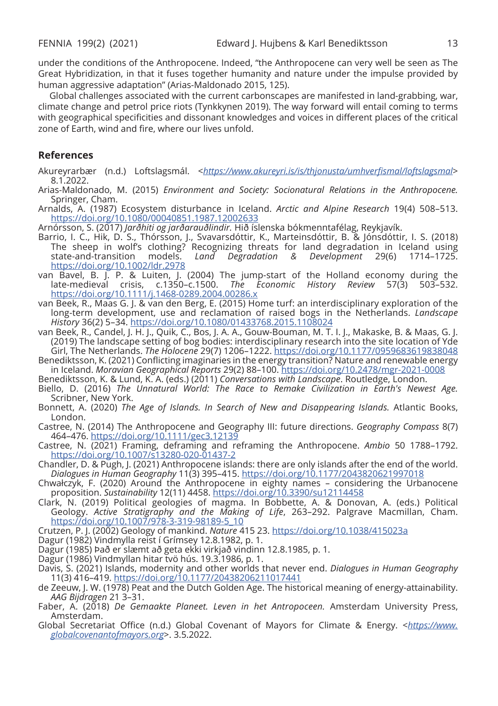under the conditions of the Anthropocene. Indeed, "the Anthropocene can very well be seen as The Great Hybridization, in that it fuses together humanity and nature under the impulse provided by human aggressive adaptation" (Arias-Maldonado 2015, 125).

Global challenges associated with the current carbonscapes are manifested in land-grabbing, war, climate change and petrol price riots (Tynkkynen 2019). The way forward will entail coming to terms with geographical specificities and dissonant knowledges and voices in different places of the critical zone of Earth, wind and fire, where our lives unfold.

### **References**

- Akureyrarbær (n.d.) Loftslagsmál. <*<https://www.akureyri.is/is/thjonusta/umhverfismal/loftslagsmal>*> 8.1.2022.
- Arias-Maldonado, M. (2015) *Environment and Society: Socionatural Relations in the Anthropocene.*  Springer, Cham.

Arnalds, A. (1987) Ecosystem disturbance in Iceland. *Arctic and Alpine Research* 19(4) 508–513. <https://doi.org/10.1080/00040851.1987.12002633>

Arnórsson, S. (2017) *Jarðhiti og jarðarauðlindir.* Hið íslenska bókmenntafélag, Reykjavík.

- Barrio, I. C., Hik, D. S., Thórsson, J., Svavarsdóttir, K., Marteinsdóttir, B. & Jónsdóttir, I. S. (2018) The sheep in wolf's clothing? Recognizing threats for land degradation in Iceland using<br>state-and-transition models. *Land Degradation & Development* 29(6) 1714–1725. models. *Land Degradation &* <https://doi.org/10.1002/ldr.2978>
- van Bavel, B. J. P. & Luiten, J. (2004) The jump-start of the Holland economy during the late-medieval crisis, c.1350–c.1500. *The Economic History Review* 57(3) 503–532. <https://doi.org/10.1111/j.1468-0289.2004.00286.x>
- van Beek, R., Maas G. J. & van den Berg, E. (2015) Home turf: an interdisciplinary exploration of the long-term development, use and reclamation of raised bogs in the Netherlands. *Landscape History* 36(2) 5–34. <https://doi.org/10.1080/01433768.2015.1108024>
- van Beek, R., Candel, J. H. J., Quik, C., Bos, J. A. A., Gouw-Bouman, M. T. I. J., Makaske, B. & Maas, G. J. (2019) The landscape setting of bog bodies: interdisciplinary research into the site location of Yde Girl, The Netherlands. *The Holocene* 29(7) 1206–1222.<https://doi.org/10.1177/0959683619838048>
- Benediktsson, K. (2021) Conflicting imaginaries in the energy transition? Nature and renewable energy in Iceland. *Moravian Geographical Reports* 29(2) 88–100.<https://doi.org/10.2478/mgr-2021-0008>
- Benediktsson, K. & Lund, K. A. (eds.) (2011) *Conversations with Landscape*. Routledge, London. Biello, D. (2016) *The Unnatural World: The Race to Remake Civilization in Earth's Newest Age.*
- Scribner, New York.
- Bonnett, A. (2020) *The Age of Islands. In Search of New and Disappearing Islands.* Atlantic Books, London.
- Castree, N. (2014) The Anthropocene and Geography III: future directions. *Geography Compass* 8(7) 464–476.<https://doi.org/10.1111/gec3.12139>
- Castree, N. (2021) Framing, deframing and reframing the Anthropocene. *Ambio* 50 1788–1792. <https://doi.org/10.1007/s13280-020-01437-2>
- Chandler, D. & Pugh, J. (2021) Anthropocene islands: there are only islands after the end of the world. *Dialogues in Human Geography* 11(3) 395–415. <https://doi.org/10.1177/2043820621997018>
- Chwałczyk, F. (2020) Around the Anthropocene in eighty names considering the Urbanocene proposition. *Sustainability* 12(11) 4458. <https://doi.org/10.3390/su12114458>
- Clark, N. (2019) Political geologies of magma. In Bobbette, A. & Donovan, A. (eds.) Political Geology. *Active Stratigraphy and the Making of Life*, 263–292. Palgrave Macmillan, Cham. [https://doi.org/10.1007/978-3-319-98189-5\\_10](https://doi.org/10.1007/978-3-319-98189-5_10)
- Crutzen, P. J. (2002) Geology of mankind. *Nature* 415 23. <https://doi.org/10.1038/415023a>
- Dagur (1982) Vindmylla reist í Grímsey 12.8.1982, p. 1.
- Dagur (1985) Það er slæmt að geta ekki virkjað vindinn 12.8.1985, p. 1.
- Dagur (1986) Vindmyllan hitar tvö hús. 19.3.1986, p. 1.
- Davis, S. (2021) Islands, modernity and other worlds that never end. *Dialogues in Human Geography*  11(3) 416–419.<https://doi.org/10.1177/20438206211017441>
- de Zeeuw, J. W. (1978) Peat and the Dutch Golden Age. The historical meaning of energy-attainability. *AAG Bijdragen* 21 3–31.
- Faber, A. (2018) *De Gemaakte Planeet. Leven in het Antropoceen.* Amsterdam University Press, Amsterdam.
- Global Secretariat Office (n.d.) Global Covenant of Mayors for Climate & Energy. <*[https://www.](https://www.globalcovenantofmayors.org) [globalcovenantofmayors.org](https://www.globalcovenantofmayors.org)*>. 3.5.2022.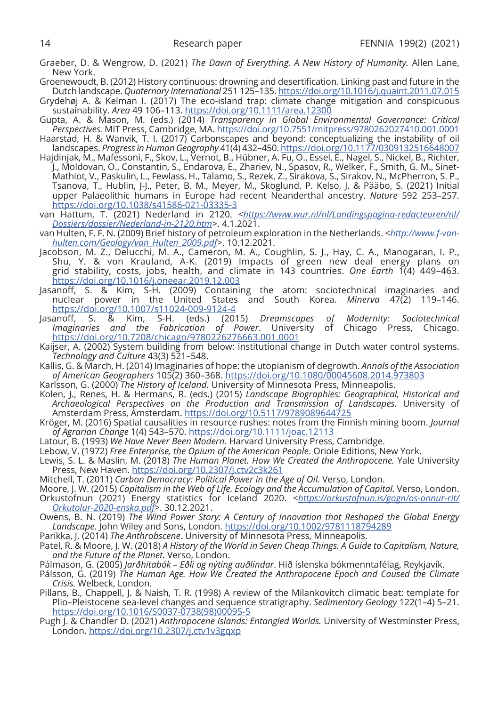- Graeber, D. & Wengrow, D. (2021) *The Dawn of Everything. A New History of Humanity.* Allen Lane, New York.
- Groenewoudt, B. (2012) History continuous: drowning and desertification. Linking past and future in the Dutch landscape. *Quaternary International* 251 125–135.<https://doi.org/10.1016/j.quaint.2011.07.015>
- Grydehøj A. & Kelman I. (2017) The eco-island trap: climate change mitigation and conspicuous sustainability. *Area* 49 106–113. <https://doi.org/10.1111/area.12300>
- Gupta, A. & Mason, M. (eds.) (2014) *Transparency in Global Environmental Governance: Critical Perspectives.* MIT Press, Cambridge, MA.<https://doi.org/10.7551/mitpress/9780262027410.001.0001>
- Haarstad, H. & Wanvik, T. I. (2017) Carbonscapes and beyond: conceptualizing the instability of oil landscapes. *Progress in Human Geography* 41(4) 432–450.<https://doi.org/10.1177/0309132516648007>
- Hajdinjak, M., Mafessoni, F., Skov, L., Vernot, B., Hübner, A. Fu, O., Essel, E., Nagel, S., Nickel, B., Richter, J., Moldovan, O., Constantin, S., Endarova, E., Zhariev, N., Spasov, R., Welker, F., Smith, G. M., Sinet-Mathiot, V., Paskulin, L., Fewlass, H., Talamo, S., Rezek, Z., Sirakova, S., Sirakov, N., McPherron, S. P., Tsanova, T., Hublin, J-J., Peter, B. M., Meyer, M., Skoglund, P. Kelso, J. & Pääbo, S. (2021) Initial upper Palaeolithic humans in Europe had recent Neanderthal ancestry. *Nature* 592 253–257. <https://doi.org/10.1038/s41586-021-03335-3>
- van Hattum, T. (2021) Nederland in 2120. <*[https://www.wur.nl/nl/Landingspagina-redacteuren/nl/](https://www.wur.nl/nl/Landingspagina-redacteuren/nl/Dossiers/dossier/Nederland-in-2120.htm) [Dossiers/dossier/Nederland-in-2120.htm](https://www.wur.nl/nl/Landingspagina-redacteuren/nl/Dossiers/dossier/Nederland-in-2120.htm)*>. 4.1.2021.
- van Hulten, F. F. N. (2009) Brief history of petroleum exploration in the Netherlands. <*[http://www.f-van](http://www.f-van-hulten.com/Geology/van_Hulten_2009.pdf)[hulten.com/Geology/van\\_Hulten\\_2009.pdf](http://www.f-van-hulten.com/Geology/van_Hulten_2009.pdf)*>. 10.12.2021.
- Jacobson, M. Z., Delucchi, M. A., Cameron, M. A., Coughlin, S. J., Hay, C. A., Manogaran, I. P., Shu, Y. & von Krauland, A-K. (2019) Impacts of green new deal energy plans on grid stability, costs, jobs, health, and climate in 143 countries. *One Earth* 1(4) 449–463. <https://doi.org/10.1016/j.oneear.2019.12.003>
- Jasanoff, S. & Kim, S-H. (2009) Containing the atom: sociotechnical imaginaries and nuclear power in the United States and South Korea. *Minerva* 47(2) 119–146. <https://doi.org/10.1007/s11024-009-9124-4>
- Jasanoff, S. & Kim, S-H. (eds.) (2015) *Dreamscapes of Modernity: Sociotechnical Imaginaries and the Fabrication of Power*. University of Chicago Press, Chicago. <https://doi.org/10.7208/chicago/9780226276663.001.0001>
- Kaijser, A. (2002) System building from below: institutional change in Dutch water control systems. *Technology and Culture* 43(3) 521–548.
- Kallis, G. & March, H. (2014) Imaginaries of hope: the utopianism of degrowth. *Annals of the Association of American Geographers* 105(2) 360–368. <https://doi.org/10.1080/00045608.2014.973803>
- Karlsson, G. (2000) *The History of Iceland.* University of Minnesota Press, Minneapolis.
- Kolen, J., Renes, H. & Hermans, R. (eds.) (2015) *Landscape Biographies: Geographical, Historical and Archaeological Perspectives on the Production and Transmission of Landscapes.* University of Amsterdam Press, Amsterdam.<https://doi.org/10.5117/9789089644725>
- Kröger, M. (2016) Spatial causalities in resource rushes: notes from the Finnish mining boom. *Journal of Agrarian Change* 1(4) 543–570.<https://doi.org/10.1111/joac.12113>
- Latour, B. (1993) *We Have Never Been Modern*. Harvard University Press, Cambridge.
- Lebow, V. (1972) *Free Enterprise, the Opium of the American People*. Oriole Editions, New York.
- Lewis, S. L. & Maslin, M. (2018) *The Human Planet. How We Created the Anthropocene.* Yale University Press, New Haven.<https://doi.org/10.2307/j.ctv2c3k261>
- Mitchell, T. (2011) *Carbon Democracy: Political Power in the Age of Oil.* Verso, London.
- Moore, J. W. (2015) *Capitalism in the Web of Life. Ecology and the Accumulation of Capital.* Verso, London. Orkustofnun (2021) Energy statistics for Iceland 2020. <*[https://orkustofnun.is/gogn/os-onnur-rit/](https://orkustofnun.is/gogn/os-onnur-rit/Orkutolur-2020-enska.pdf) [Orkutolur-2020-enska.pdf](https://orkustofnun.is/gogn/os-onnur-rit/Orkutolur-2020-enska.pdf)*>. 30.12.2021.
- Owens, B. N. (2019) *The Wind Power Story: A Century of Innovation that Reshaped the Global Energy Landscape*. John Wiley and Sons, London. <https://doi.org/10.1002/9781118794289>
- Parikka, J. (2014) *The Anthrobscene*. University of Minnesota Press, Minneapolis.
- Patel, R. & Moore, J. W. (2018) *A History of the World in Seven Cheap Things. A Guide to Capitalism, Nature, and the Future of the Planet.* Verso, London.
- Pálmason, G. (2005) *Jarðhitabók Eðli og nýting auðlindar*. Hið íslenska bókmenntafélag, Reykjavík.
- Pálsson, G. (2019) *The Human Age. How We Created the Anthropocene Epoch and Caused the Climate Crisis.* Welbeck, London.
- Pillans, B., Chappell, J. & Naish, T. R. (1998) A review of the Milankovitch climatic beat: template for Plio–Pleistocene sea-level changes and sequence stratigraphy. *Sedimentary Geology* 122(1–4) 5–21. [https://doi.org/10.1016/S0037-0738\(98\)00095-5](https://doi.org/10.1016/S0037-0738(98)00095-5)
- Pugh J. & Chandler D. (2021) *Anthropocene Islands: Entangled Worlds.* University of Westminster Press, London.<https://doi.org/10.2307/j.ctv1v3gqxp>